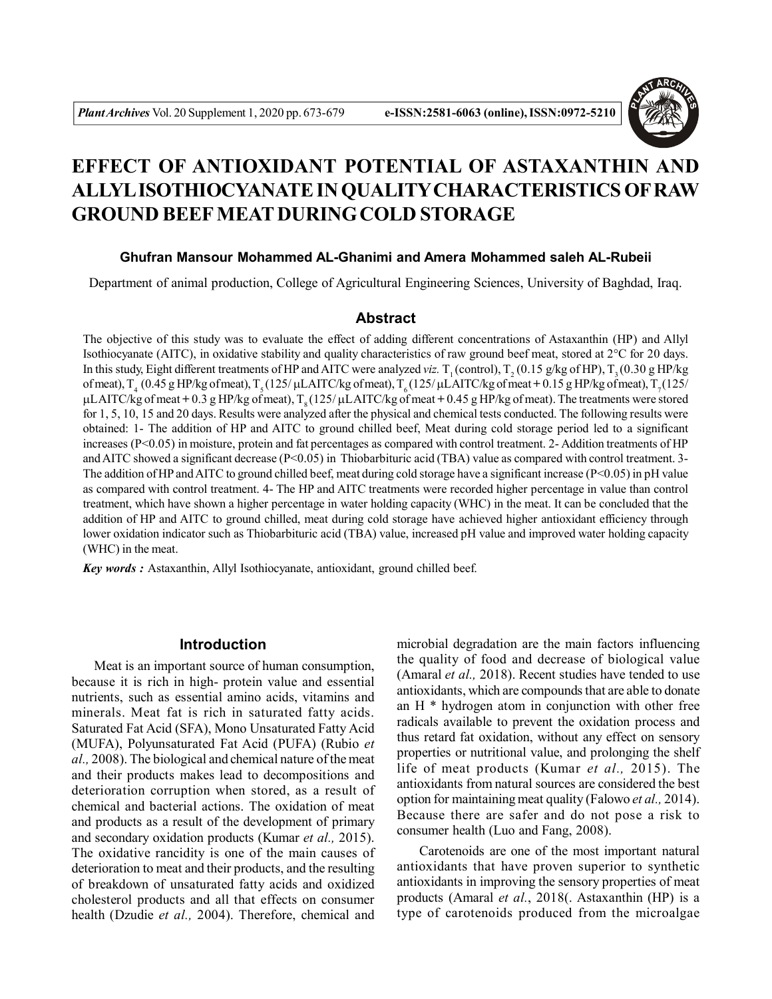

# **EFFECT OF ANTIOXIDANT POTENTIAL OF ASTAXANTHIN AND ALLYL ISOTHIOCYANATE IN QUALITY CHARACTERISTICS OF RAW GROUND BEEF MEAT DURING COLD STORAGE**

## **Ghufran Mansour Mohammed AL-Ghanimi and Amera Mohammed saleh AL-Rubeii**

Department of animal production, College of Agricultural Engineering Sciences, University of Baghdad, Iraq.

### **Abstract**

The objective of this study was to evaluate the effect of adding different concentrations of Astaxanthin (HP) and Allyl Isothiocyanate (AITC), in oxidative stability and quality characteristics of raw ground beef meat, stored at 2°C for 20 days. In this study, Eight different treatments of HP and AITC were analyzed *viz*. T<sub>1</sub>(control), T<sub>2</sub>(0.15 g/kg of HP), T<sub>3</sub>(0.30 g HP/kg of meat),  $T<sub>4</sub>$  (0.45 g HP/kg of meat),  $T<sub>5</sub>$  (125/  $\mu$ LAITC/kg of meat),  $T<sub>6</sub>$  (125/  $\mu$ LAITC/kg of meat + 0.15 g HP/kg of meat),  $T<sub>7</sub>$  (125/ µL AITC/kg of meat  $+ 0.3$  g HP/kg of meat),  $\Gamma_{\text{o}}$  (125/ µL AITC/kg of meat  $+ 0.45$  g HP/kg of meat). The treatments were stored for 1, 5, 10, 15 and 20 days. Results were analyzed after the physical and chemical tests conducted. The following results were obtained: 1- The addition of HP and AITC to ground chilled beef, Meat during cold storage period led to a significant increases (P<0.05) in moisture, protein and fat percentages as compared with control treatment. 2- Addition treatments of HP and AITC showed a significant decrease ( $P<0.05$ ) in Thiobarbituric acid (TBA) value as compared with control treatment. 3-The addition of HP and AITC to ground chilled beef, meat during cold storage have a significant increase (P<0.05) in pH value as compared with control treatment. 4- The HP and AITC treatments were recorded higher percentage in value than control treatment, which have shown a higher percentage in water holding capacity (WHC) in the meat. It can be concluded that the addition of HP and AITC to ground chilled, meat during cold storage have achieved higher antioxidant efficiency through lower oxidation indicator such as Thiobarbituric acid (TBA) value, increased pH value and improved water holding capacity (WHC) in the meat.

*Key words :* Astaxanthin, Allyl Isothiocyanate, antioxidant, ground chilled beef.

## **Introduction**

Meat is an important source of human consumption, because it is rich in high- protein value and essential nutrients, such as essential amino acids, vitamins and minerals. Meat fat is rich in saturated fatty acids. Saturated Fat Acid (SFA), Mono Unsaturated Fatty Acid (MUFA), Polyunsaturated Fat Acid (PUFA) (Rubio *et al.,* 2008). The biological and chemical nature of the meat and their products makes lead to decompositions and deterioration corruption when stored, as a result of chemical and bacterial actions. The oxidation of meat and products as a result of the development of primary and secondary oxidation products (Kumar *et al.,* 2015). The oxidative rancidity is one of the main causes of deterioration to meat and their products, and the resulting of breakdown of unsaturated fatty acids and oxidized cholesterol products and all that effects on consumer health (Dzudie *et al.,* 2004). Therefore, chemical and

microbial degradation are the main factors influencing the quality of food and decrease of biological value (Amaral *et al.,* 2018). Recent studies have tended to use antioxidants, which are compounds that are able to donate an H \* hydrogen atom in conjunction with other free radicals available to prevent the oxidation process and thus retard fat oxidation, without any effect on sensory properties or nutritional value, and prolonging the shelf life of meat products (Kumar *et al.,* 2015). The antioxidants from natural sources are considered the best option for maintaining meat quality (Falowo *et al.,* 2014). Because there are safer and do not pose a risk to consumer health (Luo and Fang, 2008).

Carotenoids are one of the most important natural antioxidants that have proven superior to synthetic antioxidants in improving the sensory properties of meat products (Amaral *et al.*, 2018(. Astaxanthin (HP) is a type of carotenoids produced from the microalgae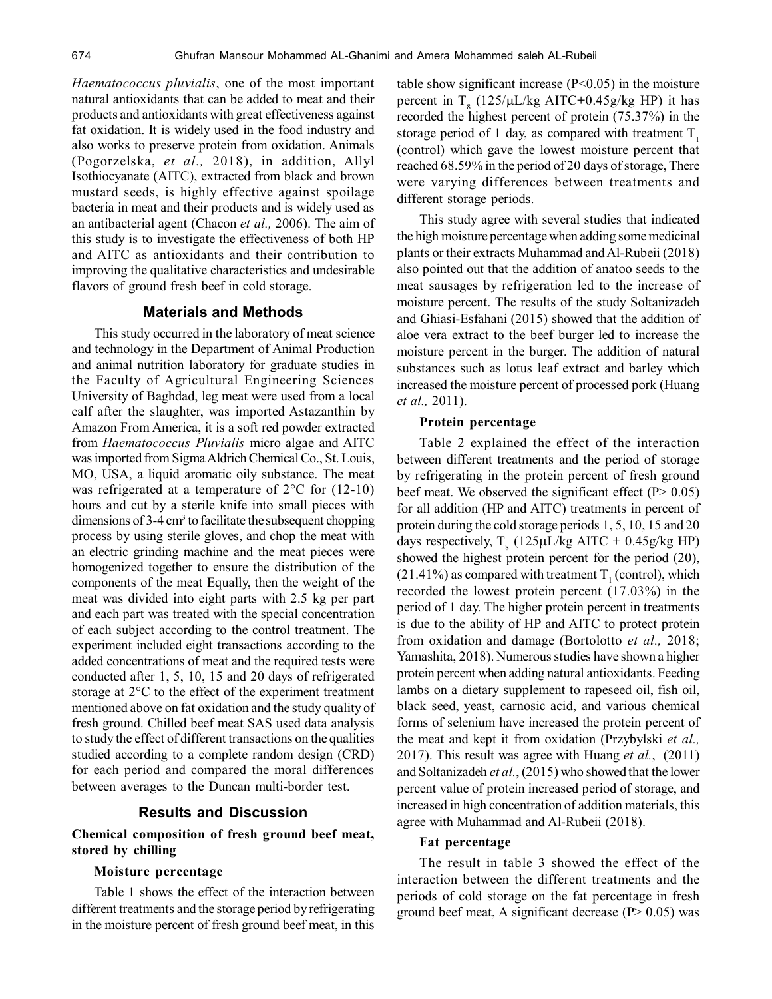*Haematococcus pluvialis*, one of the most important natural antioxidants that can be added to meat and their products and antioxidants with great effectiveness against fat oxidation. It is widely used in the food industry and also works to preserve protein from oxidation. Animals (Pogorzelska, *et al.,* 2018), in addition, Allyl Isothiocyanate (AITC), extracted from black and brown mustard seeds, is highly effective against spoilage bacteria in meat and their products and is widely used as an antibacterial agent (Chacon *et al.,* 2006). The aim of this study is to investigate the effectiveness of both HP and AITC as antioxidants and their contribution to improving the qualitative characteristics and undesirable flavors of ground fresh beef in cold storage.

## **Materials and Methods**

This study occurred in the laboratory of meat science and technology in the Department of Animal Production and animal nutrition laboratory for graduate studies in the Faculty of Agricultural Engineering Sciences University of Baghdad, leg meat were used from a local calf after the slaughter, was imported Astazanthin by Amazon From America, it is a soft red powder extracted from *Haematococcus Pluvialis* micro algae and AITC was imported from Sigma Aldrich Chemical Co., St. Louis, MO, USA, a liquid aromatic oily substance. The meat was refrigerated at a temperature of  $2^{\circ}$ C for (12-10) hours and cut by a sterile knife into small pieces with dimensions of 3-4 cm<sup>3</sup> to facilitate the subsequent chopping process by using sterile gloves, and chop the meat with an electric grinding machine and the meat pieces were homogenized together to ensure the distribution of the components of the meat Equally, then the weight of the meat was divided into eight parts with 2.5 kg per part and each part was treated with the special concentration of each subject according to the control treatment. The experiment included eight transactions according to the added concentrations of meat and the required tests were conducted after 1, 5, 10, 15 and 20 days of refrigerated storage at 2°C to the effect of the experiment treatment mentioned above on fat oxidation and the study quality of fresh ground. Chilled beef meat SAS used data analysis to study the effect of different transactions on the qualities studied according to a complete random design (CRD) for each period and compared the moral differences between averages to the Duncan multi-border test.

#### **Results and Discussion**

## **Chemical composition of fresh ground beef meat, stored by chilling**

#### **Moisture percentage**

Table 1 shows the effect of the interaction between different treatments and the storage period by refrigerating in the moisture percent of fresh ground beef meat, in this table show significant increase  $(P<0.05)$  in the moisture percent in  $T_{8}$  (125/ $\mu$ L/kg AITC+0.45g/kg HP) it has recorded the highest percent of protein (75.37%) in the storage period of 1 day, as compared with treatment  $T<sub>1</sub>$ (control) which gave the lowest moisture percent that reached 68.59% in the period of 20 days of storage, There were varying differences between treatments and different storage periods.

This study agree with several studies that indicated the high moisture percentage when adding some medicinal plants or their extracts Muhammad and Al-Rubeii (2018) also pointed out that the addition of anatoo seeds to the meat sausages by refrigeration led to the increase of moisture percent. The results of the study Soltanizadeh and Ghiasi-Esfahani (2015) showed that the addition of aloe vera extract to the beef burger led to increase the moisture percent in the burger. The addition of natural substances such as lotus leaf extract and barley which increased the moisture percent of processed pork (Huang *et al.,* 2011).

## **Protein percentage**

Table 2 explained the effect of the interaction between different treatments and the period of storage by refrigerating in the protein percent of fresh ground beef meat. We observed the significant effect  $(P > 0.05)$ for all addition (HP and AITC) treatments in percent of protein during the cold storage periods 1, 5, 10, 15 and 20 days respectively,  $T_{8}$  (125µL/kg AITC + 0.45g/kg HP) showed the highest protein percent for the period (20), (21.41%) as compared with treatment  $T_1$  (control), which recorded the lowest protein percent (17.03%) in the period of 1 day. The higher protein percent in treatments is due to the ability of HP and AITC to protect protein from oxidation and damage (Bortolotto *et al.,* 2018; Yamashita, 2018). Numerous studies have shown a higher protein percent when adding natural antioxidants. Feeding lambs on a dietary supplement to rapeseed oil, fish oil, black seed, yeast, carnosic acid, and various chemical forms of selenium have increased the protein percent of the meat and kept it from oxidation (Przybylski *et al.,* 2017). This result was agree with Huang *et al.*, (2011) and Soltanizadeh *et al.*, (2015) who showed that the lower percent value of protein increased period of storage, and increased in high concentration of addition materials, this agree with Muhammad and Al-Rubeii (2018).

#### **Fat percentage**

The result in table 3 showed the effect of the interaction between the different treatments and the periods of cold storage on the fat percentage in fresh ground beef meat, A significant decrease  $(P> 0.05)$  was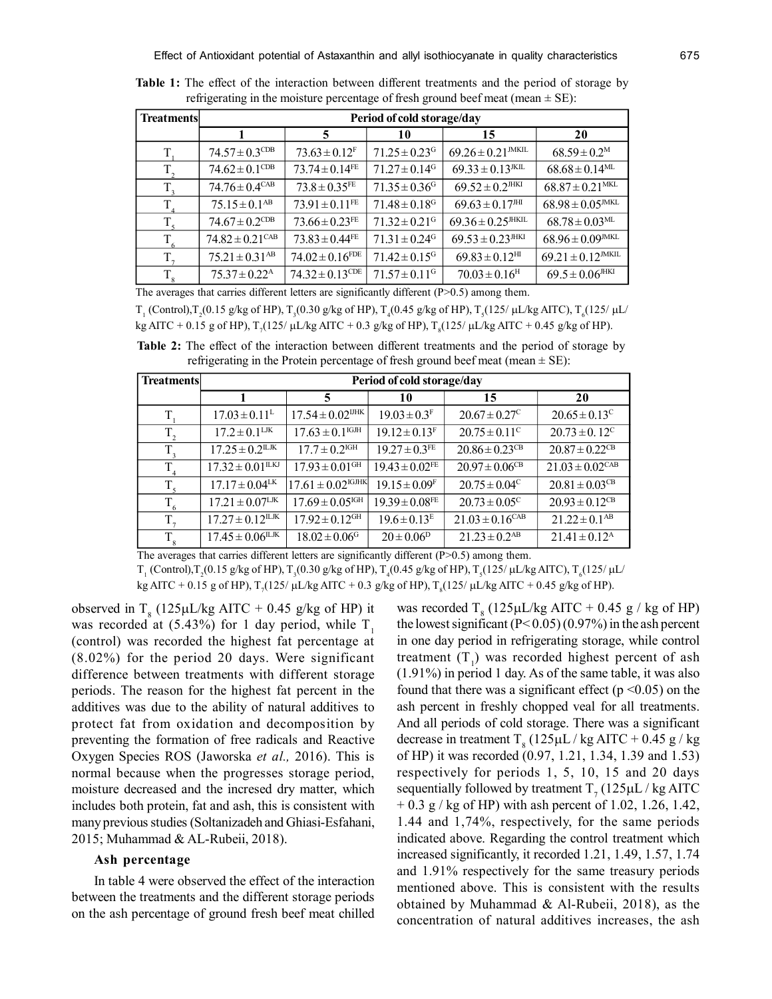| <b>Treatments</b> | Period of cold storage/day     |                                |                               |                                  |                                  |
|-------------------|--------------------------------|--------------------------------|-------------------------------|----------------------------------|----------------------------------|
|                   |                                | 5                              | 10                            | 15                               | 20                               |
| T.                | $74.57 \pm 0.3$ <sup>CDB</sup> | $73.63 \pm 0.12$ <sup>F</sup>  | $71.25 \pm 0.23$ <sup>G</sup> | $69.26 \pm 0.21$ <sup>MKIL</sup> | $68.59 \pm 0.2^{\rm M}$          |
| $T_{2}$           | $74.62 \pm 0.1$ <sup>CDB</sup> | $73.74 \pm 0.14$ <sup>FE</sup> | $71.27 \pm 0.14$ <sup>G</sup> | $69.33 \pm 0.13$ <sup>JKIL</sup> | $68.68 \pm 0.14$ <sup>ML</sup>   |
| $T_{\rm a}$       | $74.76 \pm 0.4^{\text{CAB}}$   | $73.8 \pm 0.35$ <sup>FE</sup>  | $71.35 \pm 0.36$ <sup>G</sup> | $69.52 \pm 0.2$ <sup>JHKI</sup>  | $68.87 \pm 0.21$ <sup>MKL</sup>  |
| $T_{\rm A}$       | $75.15 \pm 0.1^{AB}$           | $73.91 \pm 0.11$ <sup>FE</sup> | $71.48 \pm 0.18$ <sup>G</sup> | $69.63 \pm 0.17$ <sup>JHI</sup>  | $68.98 \pm 0.05$ <sup>MKL</sup>  |
| $T_{\epsilon}$    | $74.67 \pm 0.2$ <sup>CDB</sup> | $73.66 \pm 0.23$ <sup>FE</sup> | $71.32 \pm 0.21$ <sup>G</sup> | $69.36 \pm 0.25$ <sup>HKIL</sup> | $68.78 \pm 0.03$ <sup>ML</sup>   |
| T.                | $74.82 \pm 0.21^{\text{CAB}}$  | $73.83 \pm 0.44$ <sup>FE</sup> | $71.31 \pm 0.24$ <sup>G</sup> | $69.53 \pm 0.23$ <sup>JHKI</sup> | $68.96\pm0.09^{\text{IMKL}}$     |
| T.                | $75.21 \pm 0.31$ <sup>AB</sup> | $74.02 \pm 0.16$ FDE           | $71.42 \pm 0.15$ <sup>G</sup> | $69.83 \pm 0.12$ <sup>HI</sup>   | $69.21 \pm 0.12$ <sup>MKIL</sup> |
| $T_{8}$           | $75.37 \pm 0.22$ <sup>A</sup>  | $74.32 \pm 0.13^{\text{CDE}}$  | $71.57 \pm 0.11$ <sup>G</sup> | $70.03 \pm 0.16$ <sup>H</sup>    | $69.5 \pm 0.06$ <sup>JHKI</sup>  |

**Table 1:** The effect of the interaction between different treatments and the period of storage by refrigerating in the moisture percentage of fresh ground beef meat (mean  $\pm$  SE):

 $T_1$  (Control), $T_2$ (0.15 g/kg of HP),  $T_3$ (0.30 g/kg of HP),  $T_4$ (0.45 g/kg of HP),  $T_5$ (125/  $\mu$ L/kg AITC),  $T_6$ (125/  $\mu$ L/ kg AITC + 0.15 g of HP),  $T_7(125/\mu\text{L/kg} \text{AITC} + 0.3 \text{ g/kg} \text{ of HP})$ ,  $T_8(125/\mu\text{L/kg} \text{AITC} + 0.45 \text{ g/kg} \text{ of HP})$ .

**Table 2:** The effect of the interaction between different treatments and the period of storage by refrigerating in the Protein percentage of fresh ground beef meat (mean  $\pm$  SE):

| <b>Treatments</b> | Period of cold storage/day      |                                   |                                |                                |                                |
|-------------------|---------------------------------|-----------------------------------|--------------------------------|--------------------------------|--------------------------------|
|                   |                                 | 5                                 | 10                             | 15                             | 20                             |
| T                 | $17.03 \pm 0.11$ <sup>L</sup>   | $17.54 \pm 0.02$ <sup>UHK</sup>   | $19.03 \pm 0.3^F$              | $20.67 \pm 0.27^{\circ}$       | $20.65 \pm 0.13^{\circ}$       |
| $T_{2}$           | $17.2 \pm 0.1^{\text{LJK}}$     | $17.63 \pm 0.1^{\text{IGJH}}$     | $19.12 \pm 0.13$ <sup>F</sup>  | $20.75 \pm 0.11^{\circ}$       | $20.73 \pm 0.12^{\circ}$       |
| $T_{3}$           | $17.25 \pm 0.2^{\text{ILJK}}$   | $17.7 \pm 0.2$ <sup>IGH</sup>     | $19.27 \pm 0.3$ <sup>FE</sup>  | $20.86 \pm 0.23$ <sup>CB</sup> | $20.87 \pm 0.22$ <sup>CB</sup> |
| $T_{4}$           | $17.32 \pm 0.01^{\text{ILKJ}}$  | $17.93 \pm 0.01$ <sup>GH</sup>    | $19.43 \pm 0.02$ <sup>FE</sup> | $20.97 \pm 0.06$ <sup>CB</sup> | $21.03 \pm 0.02$ CAB           |
| $T_{\rm s}$       | $17.17 \pm 0.04$ <sup>LK</sup>  | $17.61 \pm 0.02$ <sup>IGJHK</sup> | $19.15 \pm 0.09$ <sup>F</sup>  | $20.75 \pm 0.04^{\circ}$       | $20.81 \pm 0.03$ <sup>CB</sup> |
| $T_{6}$           | $17.21 \pm 0.07$ <sup>LJK</sup> | $17.69 \pm 0.05$ <sup>IGH</sup>   | $19.39 \pm 0.08$ <sup>FE</sup> | $20.73 \pm 0.05^{\circ}$       | $20.93 \pm 0.12$ <sup>CB</sup> |
| $T_{7}$           | $17.27 \pm 0.12^{\text{ILJK}}$  | $17.92 \pm 0.12$ <sup>GH</sup>    | $19.6 \pm 0.13^E$              | $21.03 \pm 0.16^{\text{CAB}}$  | $21.22 \pm 0.1^{AB}$           |
| $T_{\rm 8}$       | $17.45 \pm 0.06^{\text{ILJK}}$  | $18.02 \pm 0.06$ <sup>G</sup>     | $20 \pm 0.06^p$                | $21.23 \pm 0.2$ <sup>AB</sup>  | $21.41 \pm 0.12^{\text{A}}$    |

The averages that carries different letters are significantly different (P>0.5) among them.

 $T_{1}$  (Control), $T_{2}(0.15 \text{ g/kg of HP})$ ,  $T_{3}(0.30 \text{ g/kg of HP})$ ,  $T_{4}(0.45 \text{ g/kg of HP})$ ,  $T_{5}(125/\mu\text{L/kg AITC})$ ,  $T_{6}(125/\mu\text{L/deg})$ 

kg AITC + 0.15 g of HP),  $T_7(125/\mu\text{L/kg} \text{AITC} + 0.3 \text{ g/kg} \text{ of HP})$ ,  $T_8(125/\mu\text{L/kg} \text{AITC} + 0.45 \text{ g/kg} \text{ of HP})$ .

observed in  $T_s$  (125µL/kg AITC + 0.45 g/kg of HP) it was recorded at  $(5.43\%)$  for 1 day period, while T<sub>1</sub> (control) was recorded the highest fat percentage at (8.02%) for the period 20 days. Were significant difference between treatments with different storage periods. The reason for the highest fat percent in the additives was due to the ability of natural additives to protect fat from oxidation and decomposition by preventing the formation of free radicals and Reactive Oxygen Species ROS (Jaworska *et al.,* 2016). This is normal because when the progresses storage period, moisture decreased and the incresed dry matter, which includes both protein, fat and ash, this is consistent with many previous studies (Soltanizadeh and Ghiasi-Esfahani, 2015; Muhammad & AL-Rubeii, 2018).

#### **Ash percentage**

In table 4 were observed the effect of the interaction between the treatments and the different storage periods on the ash percentage of ground fresh beef meat chilled

was recorded  $T_{8}$  (125µL/kg AITC + 0.45 g / kg of HP) the lowest significant  $(P< 0.05)$  (0.97%) in the ash percent in one day period in refrigerating storage, while control treatment  $(T_1)$  was recorded highest percent of ash (1.91%) in period 1 day. As of the same table, it was also found that there was a significant effect ( $p \le 0.05$ ) on the ash percent in freshly chopped veal for all treatments. And all periods of cold storage. There was a significant decrease in treatment T<sub>8</sub> (125 $\mu$ L / kg AITC + 0.45 g / kg of HP) it was recorded (0.97, 1.21, 1.34, 1.39 and 1.53) respectively for periods 1, 5, 10, 15 and 20 days sequentially followed by treatment  $T_7$  (125 $\mu$ L / kg AITC  $+ 0.3$  g / kg of HP) with ash percent of 1.02, 1.26, 1.42, 1.44 and 1,74%, respectively, for the same periods indicated above. Regarding the control treatment which increased significantly, it recorded 1.21, 1.49, 1.57, 1.74 and 1.91% respectively for the same treasury periods mentioned above. This is consistent with the results obtained by Muhammad & Al-Rubeii, 2018), as the concentration of natural additives increases, the ash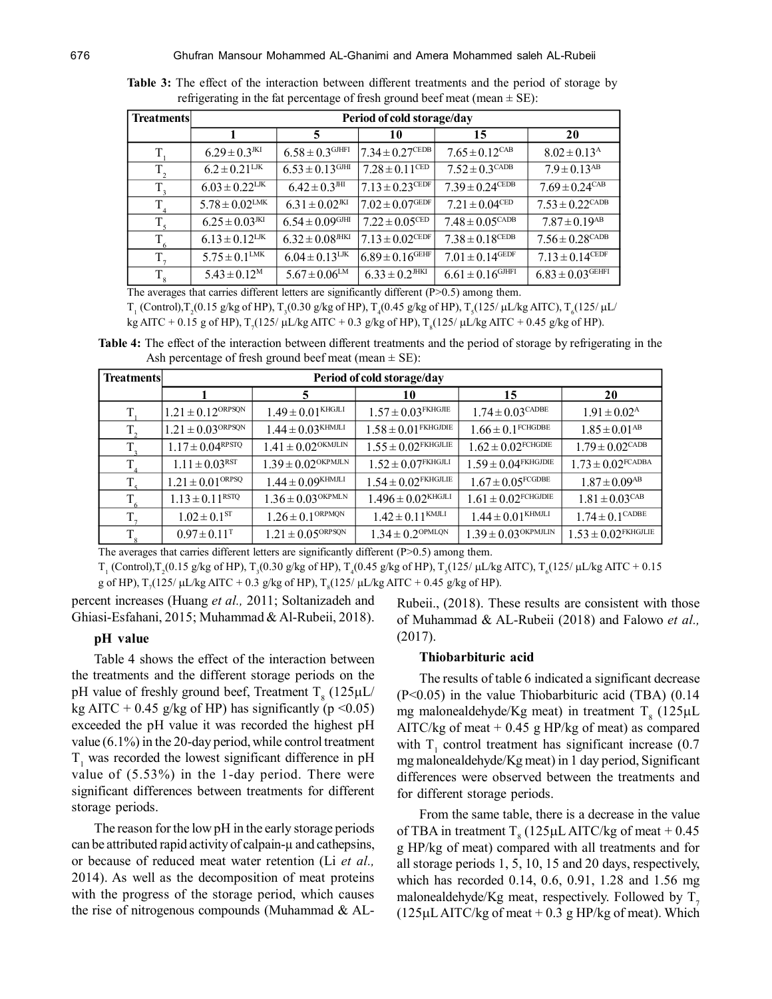| <b>Treatments</b> | Period of cold storage/day     |                                 |                                |                               |                                |  |
|-------------------|--------------------------------|---------------------------------|--------------------------------|-------------------------------|--------------------------------|--|
|                   |                                | 5                               | 10                             | 15                            | 20                             |  |
| T.                | $6.29 \pm 0.3$ <sup>JKI</sup>  | $6.58 \pm 0.3$ GJHFI            | $17.34 \pm 0.27^{\text{CEDB}}$ | $7.65 \pm 0.12$ CAB           | $8.02 \pm 0.13$ <sup>A</sup>   |  |
| $T_{2}$           | $6.2 \pm 0.21^{\text{LJK}}$    | $6.53 \pm 0.13$ <sup>GJHI</sup> | $7.28 \pm 0.11^{\text{CED}}$   | $7.52 \pm 0.3^{\text{CADB}}$  | $7.9 \pm 0.13$ <sup>AB</sup>   |  |
| $T_{3}$           | $6.03 \pm 0.22^{\text{LJK}}$   | $6.42 \pm 0.3$ <sup>HI</sup>    | $7.13 \pm 0.23$ CEDF           | $7.39 \pm 0.24^{\text{CEDB}}$ | $7.69 \pm 0.24$ <sup>CAB</sup> |  |
| $T_{\rm A}$       | $5.78 \pm 0.02^{\text{LMK}}$   | $6.31 \pm 0.02$ <sup>JKI</sup>  | $7.02 \pm 0.07^{\rm GEDF}$     | $7.21 \pm 0.04^{\text{CED}}$  | $7.53 \pm 0.22^{\text{CADB}}$  |  |
| $T_{\rm s}$       | $6.25 \pm 0.03$ <sup>JKI</sup> | $6.54 \pm 0.09$ <sup>GJHI</sup> | $7.22 \pm 0.05^{\text{CED}}$   | $7.48 \pm 0.05^{\text{CADB}}$ | $7.87 \pm 0.19$ <sup>AB</sup>  |  |
| $T_{6}$           | $6.13 \pm 0.12^{\text{LJK}}$   | $6.32 \pm 0.08$ <sup>JHKI</sup> | $7.13 \pm 0.02^{\text{CEDF}}$  | $7.38 \pm 0.18^{\text{CEDB}}$ | $7.56 \pm 0.28^{\text{CADB}}$  |  |
| $T_{7}$           | $5.75 \pm 0.1^{\text{LMK}}$    | $6.04 \pm 0.13^{\text{LJK}}$    | $6.89 \pm 0.16^{\text{GEHF}}$  | $7.01 \pm 0.14$ GEDF          | $7.13 \pm 0.14^{\text{CEDF}}$  |  |
| $T_{8}$           | $5.43 \pm 0.12^M$              | $5.67 \pm 0.06^{\text{LM}}$     | $6.33 \pm 0.2$ <sup>JHKI</sup> | $6.61 \pm 0.16$ GJHFI         | $6.83 \pm 0.03$ GEHFI          |  |

**Table 3:** The effect of the interaction between different treatments and the period of storage by refrigerating in the fat percentage of fresh ground beef meat (mean  $\pm$  SE):

 $T_1$  (Control), $T_2(0.15 \text{ g/kg of HP})$ ,  $T_3(0.30 \text{ g/kg of HP})$ ,  $T_4(0.45 \text{ g/kg of HP})$ ,  $T_5(125/\mu\text{L/kg ATC})$ ,  $T_6(125/\mu\text{L/deg})$ kg AITC + 0.15 g of HP),  $T_7(125/\mu\text{L/kg}$  AITC + 0.3 g/kg of HP),  $T_8(125/\mu\text{L/kg}$  AITC + 0.45 g/kg of HP).

**Table 4:** The effect of the interaction between different treatments and the period of storage by refrigerating in the Ash percentage of fresh ground beef meat (mean  $\pm$  SE):

| Treatments  | Period of cold storage/day        |                                    |                                     |                                     |                                     |  |
|-------------|-----------------------------------|------------------------------------|-------------------------------------|-------------------------------------|-------------------------------------|--|
|             |                                   | 5                                  | 10                                  | 15                                  | 20                                  |  |
| T.          | $1.21 \pm 0.12$ <sup>ORPSQN</sup> | $1.49 \pm 0.01$ <sup>KHGJLI</sup>  | $1.57 \pm 0.03$ <sup>FKHGJIE</sup>  | $1.74 \pm 0.03^{\text{CADE}}$       | $1.91 \pm 0.02^{\text{A}}$          |  |
| $T_{2}$     | $1.21 \pm 0.03$ <sup>ORPSQN</sup> | $1.44 \pm 0.03^{\text{KHMLI}}$     | $1.58 \pm 0.01$ <sup>FKHGJDIE</sup> | $1.66 \pm 0.1$ <sup>FCHGDBE</sup>   | $1.85 \pm 0.01$ <sup>AB</sup>       |  |
| $T_{\rm a}$ | $1.17 \pm 0.04^{\rm RPSTQ}$       | $1.41 \pm 0.02$ <sup>OKMJLIN</sup> | $1.55 \pm 0.02$ <sup>FKHGJLIE</sup> | $1.62 \pm 0.02$ <sup>FCHGDIE</sup>  | $1.79 \pm 0.02^{\text{CADB}}$       |  |
| $T_{\rm A}$ | $1.11 \pm 0.03$ <sup>RST</sup>    | $1.39 \pm 0.02$ <sup>OKPMJLN</sup> | $1.52 \pm 0.07$ <sup>FKHGJLI</sup>  | $1.59 \pm 0.04$ <sup>FKHGJDIE</sup> | $1.73 \pm 0.02$ <sup>FCADBA</sup>   |  |
| $T_{\rm s}$ | $1.21 \pm 0.01^{\text{ORPSQ}}$    | $1.44 \pm 0.09^{KHMJLI}$           | $1.54 \pm 0.02$ <sup>FKHGJLIE</sup> | $1.67 \pm 0.05^{\text{FCGDBE}}$     | $1.87 \pm 0.09$ <sup>AB</sup>       |  |
| $T_{6}$     | $1.13 \pm 0.11^{RSTQ}$            | $1.36 \pm 0.03$ <sup>OKPMLN</sup>  | $1.496 \pm 0.02$ <sup>KHGJLI</sup>  | $1.61 \pm 0.02$ <sup>FCHGJDIE</sup> | $1.81 \pm 0.03^{\text{CAB}}$        |  |
| $T_{\tau}$  | $1.02 \pm 0.1$ <sup>ST</sup>      | $1.26 \pm 0.1^{\text{ORPMQN}}$     | $1.42 \pm 0.11^{KMLI}$              | $1.44 \pm 0.01^{\text{KHMLI}}$      | $1.74 \pm 0.1^{\text{CADE}}$        |  |
| $T_{\rm g}$ | $0.97 \pm 0.11$ <sup>T</sup>      | $1.21 \pm 0.05^{\text{ORPSQN}}$    | $1.34 \pm 0.2^{\text{OPMLQN}}$      | $1.39 \pm 0.03^{\text{OKPMJLIN}}$   | $1.53 \pm 0.02$ <sup>FKHGJLIE</sup> |  |

The averages that carries different letters are significantly different  $(P>0.5)$  among them.

 $T_{1}$  (Control), $T_{2}(0.15$  g/kg of HP),  $T_{3}(0.30$  g/kg of HP),  $T_{4}(0.45$  g/kg of HP),  $T_{5}(125/ \mu L/kg$  AITC),  $T_{6}(125/ \mu L/kg$  AITC +  $0.15$ g of HP),  $T_7(125/\mu\text{L/kg} \text{AITC} + 0.3 \text{ g/kg of HP})$ ,  $T_8(125/\mu\text{L/kg} \text{AITC} + 0.45 \text{ g/kg of HP})$ .

percent increases (Huang *et al.,* 2011; Soltanizadeh and Ghiasi-Esfahani, 2015; Muhammad & Al-Rubeii, 2018).

#### **pH value**

Table 4 shows the effect of the interaction between the treatments and the different storage periods on the pH value of freshly ground beef, Treatment T<sub>8</sub> (125 $\mu$ L/ kg AITC + 0.45 g/kg of HP) has significantly ( $p \le 0.05$ ) exceeded the pH value it was recorded the highest pH value (6.1%) in the 20-day period, while control treatment  $T<sub>1</sub>$  was recorded the lowest significant difference in pH value of (5.53%) in the 1-day period. There were significant differences between treatments for different storage periods.

The reason for the low pH in the early storage periods can be attributed rapid activity of calpain-µ and cathepsins, or because of reduced meat water retention (Li *et al.,* 2014). As well as the decomposition of meat proteins with the progress of the storage period, which causes the rise of nitrogenous compounds (Muhammad  $&$  AL- Rubeii., (2018). These results are consistent with those of Muhammad & AL-Rubeii (2018) and Falowo *et al.,* (2017).

#### **Thiobarbituric acid**

The results of table 6 indicated a significant decrease (P<0.05) in the value Thiobarbituric acid (TBA) (0.14 mg malonealdehyde/Kg meat) in treatment  $T_{\text{g}}$  (125µL AITC/kg of meat  $+ 0.45$  g HP/kg of meat) as compared with  $T_1$  control treatment has significant increase (0.7) mg malonealdehyde/Kg meat) in 1 day period, Significant differences were observed between the treatments and for different storage periods.

From the same table, there is a decrease in the value of TBA in treatment  $T_s$  (125µL AITC/kg of meat + 0.45 g HP/kg of meat) compared with all treatments and for all storage periods 1, 5, 10, 15 and 20 days, respectively, which has recorded 0.14, 0.6, 0.91, 1.28 and 1.56 mg malonealdehyde/Kg meat, respectively. Followed by  $T<sub>z</sub>$  $(125\mu L AITC/kg of meat + 0.3 g HP/kg of meat)$ . Which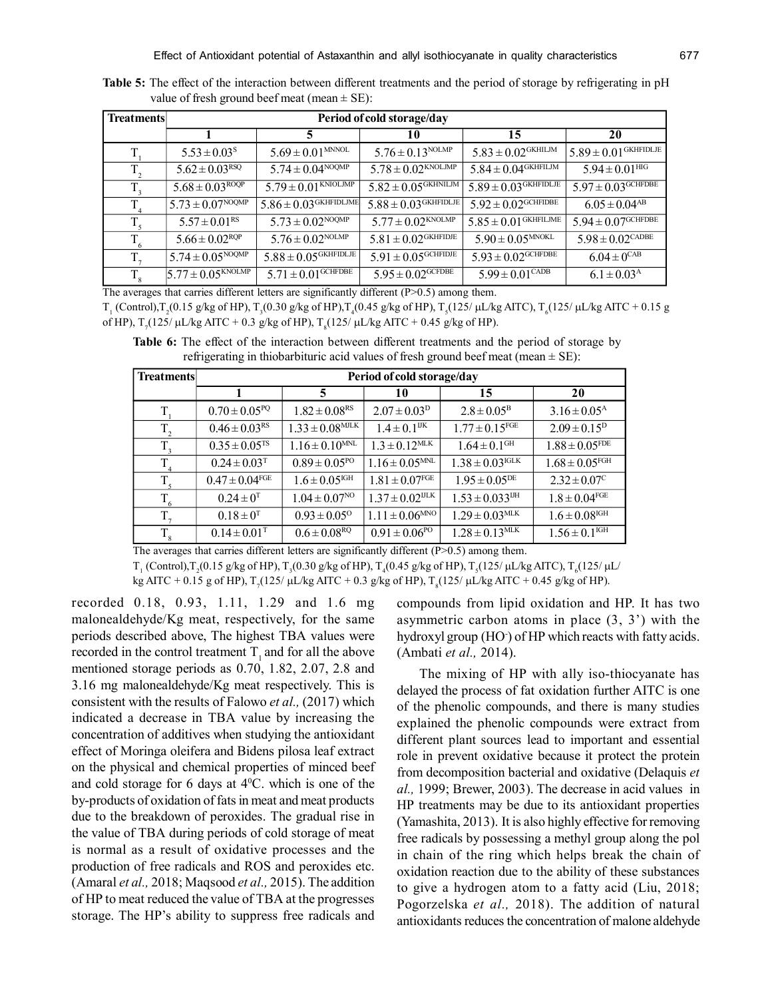**Table 5:** The effect of the interaction between different treatments and the period of storage by refrigerating in pH value of fresh ground beef meat (mean  $\pm$  SE):

| <b>Treatments</b> | Period of cold storage/day            |                                      |                                      |                                    |                                    |  |
|-------------------|---------------------------------------|--------------------------------------|--------------------------------------|------------------------------------|------------------------------------|--|
|                   |                                       | 5                                    | 10                                   | 15                                 | 20                                 |  |
| T,                | $5.53 \pm 0.03$ <sup>s</sup>          | $5.69 \pm 0.01^{\text{MNNOL}}$       | $5.76 \pm 0.13^{\text{NOLMP}}$       | $5.83\pm0.02^{\text{GKHILJM}}$     | $15.89 \pm 0.01$ GKHFIDLJE         |  |
| $T_{2}$           | $5.62 \pm 0.03^{RSQ}$                 | $5.74 \pm 0.04^{NOQMP}$              | $5.78 \pm 0.02^{KNOLJ\overline{MP}}$ | $5.84 \pm 0.04^{\text{GKHFLJM}}$   | $5.94 \pm 0.01$ HIG                |  |
| $T_{3}$           | $5.68 \pm 0.03^{\text{ROQP}}$         | $5.79 \pm 0.01$ KNIOLJMP             | $5.82 \pm 0.05$ GKHNILJM             | $5.89 \pm 0.03$ GKHFIDLJE          | $5.97 \pm 0.03$ <sup>GCHFDBE</sup> |  |
| $T_{4}$           | $15.73 \pm 0.07^{NOQMP}$              | $5.86 \pm 0.03$ GKHFIDLJME           | $5.88 \pm 0.03$ GKHFIDLJE            | $5.92 \pm 0.02^{\text{GCHFIDBE}}$  | $6.05 \pm 0.04^{AB}$               |  |
| $T_{\rm s}$       | $5.57 \pm 0.01$ <sup>RS</sup>         | $5.73 \pm 0.02^{NOQMP}$              | $5.77 \pm 0.02$ <sup>KNOLMP</sup>    | $5.85\pm0.01^{\text{GKHFLJME}}$    | $5.94 \pm 0.07^{\text{GCHFDBE}}$   |  |
| $T_{6}$           | $5.66 \pm 0.02^{\text{RQP}}$          | $5.76 \pm 0.02^{\text{NOLMP}}$       | $5.81 \pm 0.02$ <sup>GKHFIDJE</sup>  | $5.90 \pm 0.05^{\text{MNOKL}}$     | $5.98 \pm 0.02^{\text{CADE}}$      |  |
| $T_{7}$           | $15.74 \pm 0.05^{NOQMP}$              | $5.88 \pm 0.05$ <sup>GKHFIDLJE</sup> | $5.91 \pm 0.05^{\text{GCHFIDJE}}$    | $5.93 \pm 0.02$ <sup>GCHFDBE</sup> | $6.04 \pm 0^{CAB}$                 |  |
| $T_{8}$           | $5.77 \pm 0.05^{K N \overline{OLMP}}$ | $5.71 \pm 0.01$ <sup>GCHFDBE</sup>   | $5.95 \pm 0.02^{\text{GCFDBE}}$      | $5.99 \pm 0.01^{\text{CADB}}$      | $6.1 \pm 0.03^{\rm A}$             |  |

 $T_{1}$  (Control), $T_{2}(0.15 \text{ g/kg of HP})$ ,  $T_{3}(0.30 \text{ g/kg of HP})$ ,  $T_{4}(0.45 \text{ g/kg of HP})$ ,  $T_{5}(125/\mu\text{L/kg AITC})$ ,  $T_{6}(125/\mu\text{L/kg AITC} + 0.15 \text{ g/kg}$ of HP), T<sub>7</sub>(125/ μL/kg AITC + 0.3 g/kg of HP), T<sub>8</sub>(125/ μL/kg AITC + 0.45 g/kg of HP).

**Table 6:** The effect of the interaction between different treatments and the period of storage by refrigerating in thiobarbituric acid values of fresh ground beef meat (mean  $\pm$  SE):

| Treatments  | Period of cold storage/day    |                                 |                                 |                                 |                                |
|-------------|-------------------------------|---------------------------------|---------------------------------|---------------------------------|--------------------------------|
|             |                               | 5                               | 10                              | 15                              | 20                             |
| T           | $0.70 \pm 0.05^{PQ}$          | $1.82 \pm 0.08$ <sup>RS</sup>   | $2.07 \pm 0.03^{\rm D}$         | $2.8 \pm 0.05^{\rm B}$          | $3.16 \pm 0.05^{\text{A}}$     |
| $T_{2}$     | $0.46 \pm 0.03$ <sup>RS</sup> | $1.33 \pm 0.08$ <sup>MJLK</sup> | $1.4 \pm 0.1$ <sup>IJK</sup>    | $1.77 \pm 0.15$ <sup>FGE</sup>  | $2.09 \pm 0.15^{\rm D}$        |
| $T_{3}$     | $0.35 \pm 0.05$ <sup>TS</sup> | $1.16 \pm 0.10^{MNL}$           | $1.3 \pm 0.12$ <sup>MLK</sup>   | $1.64 \pm 0.1$ <sup>GH</sup>    | $1.88 \pm 0.05$ <sup>FDE</sup> |
| $T_{\rm A}$ | $0.24 \pm 0.03$ <sup>T</sup>  | $0.89 \pm 0.05^{pQ}$            | $1.16 \pm 0.05^{\text{MNL}}$    | $1.38 \pm 0.03^{\text{IGLK}}$   | $1.68 \pm 0.05$ <sup>FGH</sup> |
| T.          | $0.47 \pm 0.04^{\text{FGE}}$  | $1.6 \pm 0.05^{\text{IGH}}$     | $1.81 \pm 0.07$ <sup>FGE</sup>  | $1.95 \pm 0.05^{DE}$            | $2.32 \pm 0.07^{\circ}$        |
| $T_{6}$     | $0.24 \pm 0^T$                | $1.04 \pm 0.07$ <sup>NO</sup>   | $1.37 \pm 0.02$ <sup>IJLK</sup> | $1.53 \pm 0.033$ <sup>IJH</sup> | $1.8 \pm 0.04^{\text{FGE}}$    |
| T,          | $0.18 \pm 0^{T}$              | $0.93 \pm 0.05^{\circ}$         | $1.11 \pm 0.06^{\text{MNO}}$    | $1.29 \pm 0.03$ <sup>MLK</sup>  | $1.6 \pm 0.08$ <sup>IGH</sup>  |
| $T_{8}$     | $0.14 \pm 0.01$ <sup>T</sup>  | $0.6 \pm 0.08^{RQ}$             | $0.91 \pm 0.06^{pQ}$            | $1.28 \pm 0.13$ <sup>MLK</sup>  | $1.56 \pm 0.1$ <sup>IGH</sup>  |

The averages that carries different letters are significantly different (P>0.5) among them.

 $T_{1}$  (Control), $T_{2}(0.15 \text{ g/kg of HP})$ ,  $T_{3}(0.30 \text{ g/kg of HP})$ ,  $T_{4}(0.45 \text{ g/kg of HP})$ ,  $T_{5}(125/\mu\text{L/kg AITC})$ ,  $T_{6}(125/\mu\text{L/deg})$ 

kg AITC + 0.15 g of HP),  $T_7(125/\mu\text{L/kg} \text{AITC} + 0.3 \text{ g/kg} \text{ of HP})$ ,  $T_8(125/\mu\text{L/kg} \text{AITC} + 0.45 \text{ g/kg} \text{ of HP})$ .

recorded 0.18, 0.93, 1.11, 1.29 and 1.6 mg malonealdehyde/Kg meat, respectively, for the same periods described above, The highest TBA values were recorded in the control treatment  $T_1$ , and for all the above mentioned storage periods as 0.70, 1.82, 2.07, 2.8 and 3.16 mg malonealdehyde/Kg meat respectively. This is consistent with the results of Falowo *et al.,* (2017) which indicated a decrease in TBA value by increasing the concentration of additives when studying the antioxidant effect of Moringa oleifera and Bidens pilosa leaf extract on the physical and chemical properties of minced beef and cold storage for 6 days at  $4^{\circ}$ C. which is one of the by-products of oxidation of fats in meat and meat products due to the breakdown of peroxides. The gradual rise in the value of TBA during periods of cold storage of meat is normal as a result of oxidative processes and the production of free radicals and ROS and peroxides etc. (Amaral *et al.,* 2018; Maqsood *et al.,* 2015). The addition of HP to meat reduced the value of TBA at the progresses storage. The HP's ability to suppress free radicals and

compounds from lipid oxidation and HP. It has two asymmetric carbon atoms in place  $(3, 3)$  with the hydroxyl group (HO<sup>-</sup>) of HP which reacts with fatty acids. (Ambati *et al.,* 2014).

The mixing of HP with ally iso-thiocyanate has delayed the process of fat oxidation further AITC is one of the phenolic compounds, and there is many studies explained the phenolic compounds were extract from different plant sources lead to important and essential role in prevent oxidative because it protect the protein from decomposition bacterial and oxidative (Delaquis *et al.,* 1999; Brewer, 2003). The decrease in acid values in HP treatments may be due to its antioxidant properties (Yamashita, 2013). It is also highly effective for removing free radicals by possessing a methyl group along the pol in chain of the ring which helps break the chain of oxidation reaction due to the ability of these substances to give a hydrogen atom to a fatty acid (Liu, 2018; Pogorzelska *et al.,* 2018). The addition of natural antioxidants reduces the concentration of malone aldehyde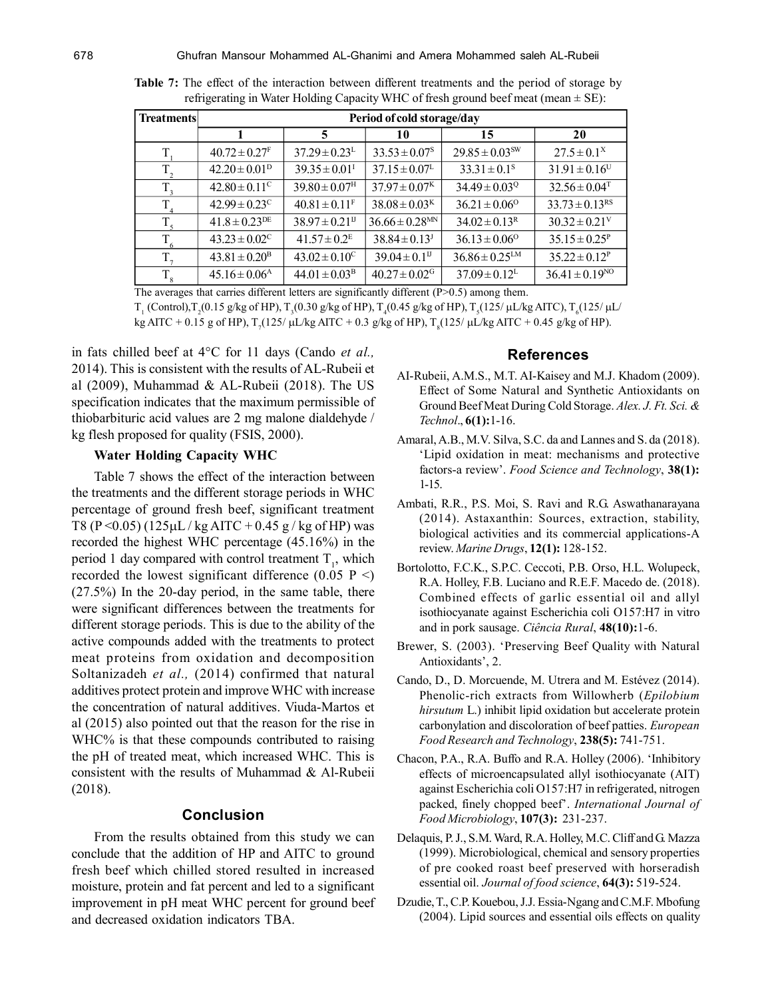| <b>Treatments</b> | Period of cold storage/day    |                                |                                |                                |                                |  |
|-------------------|-------------------------------|--------------------------------|--------------------------------|--------------------------------|--------------------------------|--|
|                   |                               | 5                              | 10                             | 15                             | 20                             |  |
| T                 | $40.72 \pm 0.27$ <sup>F</sup> | $37.29 \pm 0.23^{\text{L}}$    | $33.53 \pm 0.07^s$             | $29.85 \pm 0.03$ <sup>sw</sup> | $27.5 \pm 0.1^x$               |  |
| $T_{2}$           | $42.20 \pm 0.01^{\rm D}$      | $39.35 \pm 0.01$ <sup>I</sup>  | $37.15 \pm 0.07^{\text{L}}$    | $33.31 \pm 0.1^s$              | $31.91 \pm 0.16$ <sup>U</sup>  |  |
| $T_{3}$           | $42.80 \pm 0.11$ <sup>c</sup> | $39.80 \pm 0.07$ <sup>H</sup>  | $37.97 \pm 0.07$ <sup>K</sup>  | $34.49 \pm 0.03$ <sup>Q</sup>  | $32.56 \pm 0.04$ <sup>T</sup>  |  |
| T                 | $42.99 \pm 0.23^{\circ}$      | $40.81 \pm 0.11^F$             | $38.08 \pm 0.03^{\rm K}$       | $36.21 \pm 0.06^{\circ}$       | $33.73 \pm 0.13$ <sup>RS</sup> |  |
| $T_{\zeta}$       | $41.8 \pm 0.23$ <sup>DE</sup> | $38.97 \pm 0.21$ <sup>II</sup> | $36.66 \pm 0.28$ <sup>MN</sup> | $34.02 \pm 0.13^R$             | $30.32 \pm 0.21$ <sup>V</sup>  |  |
| $T_{6}$           | $43.23 \pm 0.02^{\circ}$      | $41.57 \pm 0.2$ <sup>E</sup>   | $38.84 \pm 0.13$ <sup>J</sup>  | $36.13 \pm 0.06^{\circ}$       | $35.15 \pm 0.25^{\rm P}$       |  |
| $T_{\tau}$        | $43.81 \pm 0.20^{\rm B}$      | $43.02 \pm 0.10^{\circ}$       | $39.04 \pm 0.1$ <sup>II</sup>  | $36.86 \pm 0.25^{\text{LM}}$   | $35.22 \pm 0.12^P$             |  |
| $T_{8}$           | $45.16 \pm 0.06^{\rm A}$      | $44.01 \pm 0.03^{\rm B}$       | $40.27 \pm 0.02$ <sup>G</sup>  | $37.09 \pm 0.12^{\text{L}}$    | $36.41 \pm 0.19^{NO}$          |  |

**Table 7:** The effect of the interaction between different treatments and the period of storage by refrigerating in Water Holding Capacity WHC of fresh ground beef meat (mean  $\pm$  SE):

 $T_{1}$  (Control), $T_{2}(0.15$  g/kg of HP),  $T_{3}(0.30$  g/kg of HP),  $T_{4}(0.45$  g/kg of HP),  $T_{5}(125/ \mu L/kg$  AITC),  $T_{6}(125/ \mu L/$ kg AITC + 0.15 g of HP),  $T_7(125/\mu\text{L/kg} \text{AITC} + 0.3 \text{ g/kg of HP})$ ,  $T_8(125/\mu\text{L/kg} \text{AITC} + 0.45 \text{ g/kg of HP})$ .

in fats chilled beef at 4°C for 11 days (Cando *et al.,* 2014). This is consistent with the results of AL-Rubeii et al (2009), Muhammad & AL-Rubeii (2018). The US specification indicates that the maximum permissible of thiobarbituric acid values are 2 mg malone dialdehyde / kg flesh proposed for quality (FSIS, 2000).

## **Water Holding Capacity WHC**

Table 7 shows the effect of the interaction between the treatments and the different storage periods in WHC percentage of ground fresh beef, significant treatment T8 (P < 0.05) (125 $\mu$ L / kg AITC + 0.45 g / kg of HP) was recorded the highest WHC percentage (45.16%) in the period 1 day compared with control treatment  $T_1$ , which recorded the lowest significant difference  $(0.05 \text{ P} \leq)$ (27.5%) In the 20-day period, in the same table, there were significant differences between the treatments for different storage periods. This is due to the ability of the active compounds added with the treatments to protect meat proteins from oxidation and decomposition Soltanizadeh *et al.,* (2014) confirmed that natural additives protect protein and improve WHC with increase the concentration of natural additives. Viuda-Martos et al (2015) also pointed out that the reason for the rise in WHC% is that these compounds contributed to raising the pH of treated meat, which increased WHC. This is consistent with the results of Muhammad & Al-Rubeii (2018).

## **Conclusion**

From the results obtained from this study we can conclude that the addition of HP and AITC to ground fresh beef which chilled stored resulted in increased moisture, protein and fat percent and led to a significant improvement in pH meat WHC percent for ground beef and decreased oxidation indicators TBA.

# **References**

- AI-Rubeii, A.M.S., M.T. AI-Kaisey and M.J. Khadom (2009). Effect of Some Natural and Synthetic Antioxidants on Ground Beef Meat During Cold Storage. *Alex. J. Ft. Sci. & Technol*., **6(1):**1-16.
- Amaral, A.B., M.V. Silva, S.C. da and Lannes and S. da (2018). 'Lipid oxidation in meat: mechanisms and protective factors-a review'. *Food Science and Technology*, **38(1):** 1-15.
- Ambati, R.R., P.S. Moi, S. Ravi and R.G. Aswathanarayana (2014). Astaxanthin: Sources, extraction, stability, biological activities and its commercial applications-A review. *Marine Drugs*, **12(1):** 128-152.
- Bortolotto, F.C.K., S.P.C. Ceccoti, P.B. Orso, H.L. Wolupeck, R.A. Holley, F.B. Luciano and R.E.F. Macedo de. (2018). Combined effects of garlic essential oil and allyl isothiocyanate against Escherichia coli O157:H7 in vitro and in pork sausage. *Ciência Rural*, **48(10):**1-6.
- Brewer, S. (2003). 'Preserving Beef Quality with Natural Antioxidants', 2.
- Cando, D., D. Morcuende, M. Utrera and M. Estévez (2014). Phenolic-rich extracts from Willowherb (*Epilobium hirsutum* L.) inhibit lipid oxidation but accelerate protein carbonylation and discoloration of beef patties. *European Food Research and Technology*, **238(5):** 741-751.
- Chacon, P.A., R.A. Buffo and R.A. Holley (2006). 'Inhibitory effects of microencapsulated allyl isothiocyanate (AIT) against Escherichia coli O157:H7 in refrigerated, nitrogen packed, finely chopped beef'. *International Journal of Food Microbiology*, **107(3):** 231-237.
- Delaquis, P. J., S.M. Ward, R.A. Holley, M.C. Cliff and G. Mazza (1999). Microbiological, chemical and sensory properties of pre cooked roast beef preserved with horseradish essential oil. *Journal of food science*, **64(3):** 519-524.
- Dzudie, T., C.P. Kouebou, J.J. Essia-Ngang and C.M.F. Mbofung (2004). Lipid sources and essential oils effects on quality